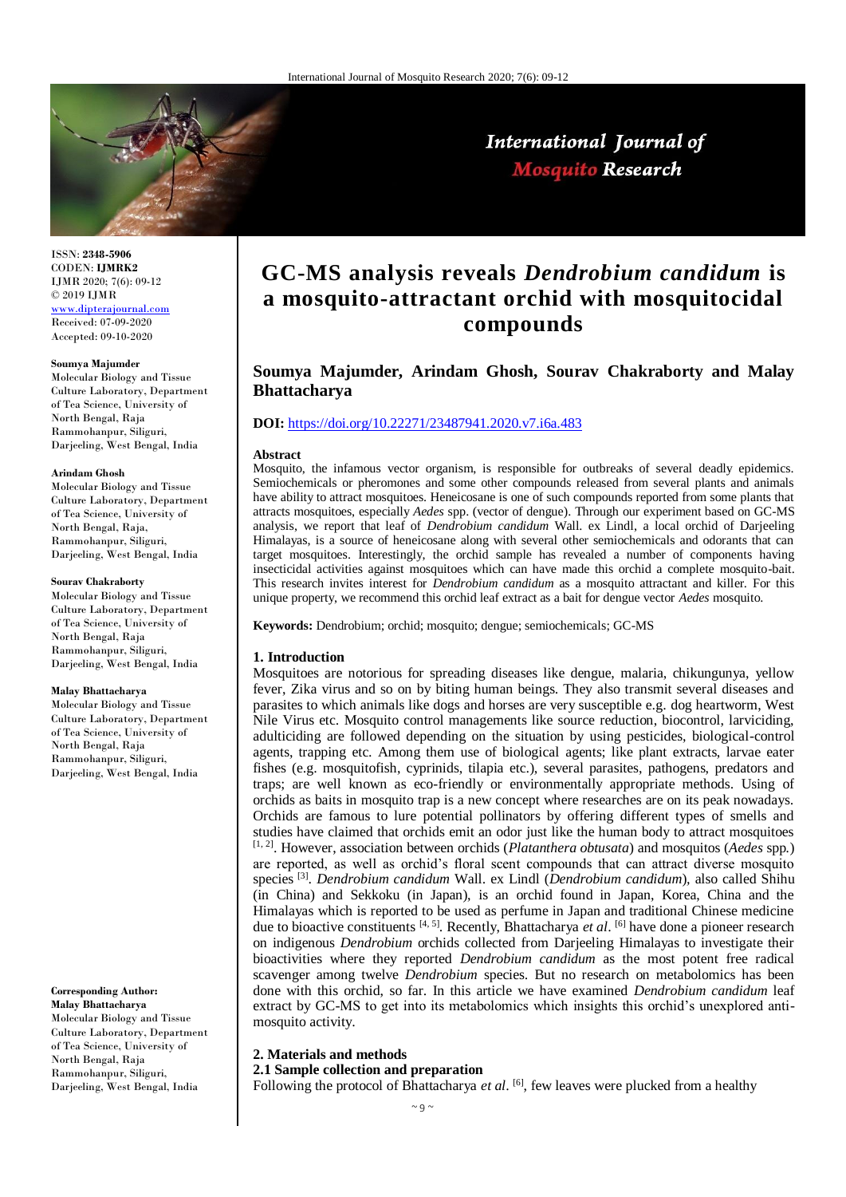

ISSN: **2348-5906** CODEN: **IJMRK2** IJMR 2020; 7(6): 09-12 © 2019 IJMR [www.dipterajournal.com](http://www.dipterajournal.com/)

Received: 07-09-2020 Accepted: 09-10-2020

#### **Soumya Majumder**

Molecular Biology and Tissue Culture Laboratory, Department of Tea Science, University of North Bengal, Raja Rammohanpur, Siliguri, Darjeeling, West Bengal, India

#### **Arindam Ghosh**

Molecular Biology and Tissue Culture Laboratory, Department of Tea Science, University of North Bengal, Raja, Rammohanpur, Siliguri, Darjeeling, West Bengal, India

#### **Sourav Chakraborty**

Molecular Biology and Tissue Culture Laboratory, Department of Tea Science, University of North Bengal, Raja Rammohanpur, Siliguri, Darjeeling, West Bengal, India

#### **Malay Bhattacharya**

Molecular Biology and Tissue Culture Laboratory, Department of Tea Science, University of North Bengal, Raja Rammohanpur, Siliguri, Darjeeling, West Bengal, India

#### **Corresponding Author: Malay Bhattacharya**

Molecular Biology and Tissue Culture Laboratory, Department of Tea Science, University of North Bengal, Raja Rammohanpur, Siliguri, Darjeeling, West Bengal, India

# **GC-MS analysis reveals** *Dendrobium candidum* **is a mosquito-attractant orchid with mosquitocidal compounds**

# **Soumya Majumder, Arindam Ghosh, Sourav Chakraborty and Malay Bhattacharya**

## **DOI:** <https://doi.org/10.22271/23487941.2020.v7.i6a.483>

#### **Abstract**

Mosquito, the infamous vector organism, is responsible for outbreaks of several deadly epidemics. Semiochemicals or pheromones and some other compounds released from several plants and animals have ability to attract mosquitoes. Heneicosane is one of such compounds reported from some plants that attracts mosquitoes, especially *Aedes* spp. (vector of dengue). Through our experiment based on GC-MS analysis, we report that leaf of *Dendrobium candidum* Wall. ex Lindl, a local orchid of Darjeeling Himalayas, is a source of heneicosane along with several other semiochemicals and odorants that can target mosquitoes. Interestingly, the orchid sample has revealed a number of components having insecticidal activities against mosquitoes which can have made this orchid a complete mosquito-bait. This research invites interest for *Dendrobium candidum* as a mosquito attractant and killer. For this unique property, we recommend this orchid leaf extract as a bait for dengue vector *Aedes* mosquito.

**Keywords:** Dendrobium; orchid; mosquito; dengue; semiochemicals; GC-MS

#### **1. Introduction**

Mosquitoes are notorious for spreading diseases like dengue, malaria, chikungunya, yellow fever, Zika virus and so on by biting human beings. They also transmit several diseases and parasites to which animals like dogs and horses are very susceptible e.g. dog heartworm, West Nile Virus etc. Mosquito control managements like source reduction, biocontrol, larviciding, adulticiding are followed depending on the situation by using pesticides, biological-control agents, trapping etc. Among them use of biological agents; like plant extracts, larvae eater fishes (e.g. mosquitofish, cyprinids, tilapia etc.), several parasites, pathogens, predators and traps; are well known as eco-friendly or environmentally appropriate methods. Using of orchids as baits in mosquito trap is a new concept where researches are on its peak nowadays. Orchids are famous to lure potential pollinators by offering different types of smells and studies have claimed that orchids emit an odor just like the human body to attract mosquitoes [1, 2]. However, association between orchids (*Platanthera obtusata*) and mosquitos (*Aedes* spp*.*) are reported, as well as orchid's floral scent compounds that can attract diverse mosquito species [3] . *Dendrobium candidum* Wall. ex Lindl (*Dendrobium candidum*)*,* also called Shihu (in China) and Sekkoku (in Japan), is an orchid found in Japan, Korea, China and the Himalayas which is reported to be used as perfume in Japan and traditional Chinese medicine due to bioactive constituents [4, 5]. Recently, Bhattacharya *et al*. [6] have done a pioneer research on indigenous *Dendrobium* orchids collected from Darjeeling Himalayas to investigate their bioactivities where they reported *Dendrobium candidum* as the most potent free radical scavenger among twelve *Dendrobium* species. But no research on metabolomics has been done with this orchid, so far. In this article we have examined *Dendrobium candidum* leaf extract by GC-MS to get into its metabolomics which insights this orchid's unexplored antimosquito activity.

# **2. Materials and methods**

**2.1 Sample collection and preparation**

Following the protocol of Bhattacharya *et al*. <sup>[6]</sup>, few leaves were plucked from a healthy

# International Journal of **Mosquito Research**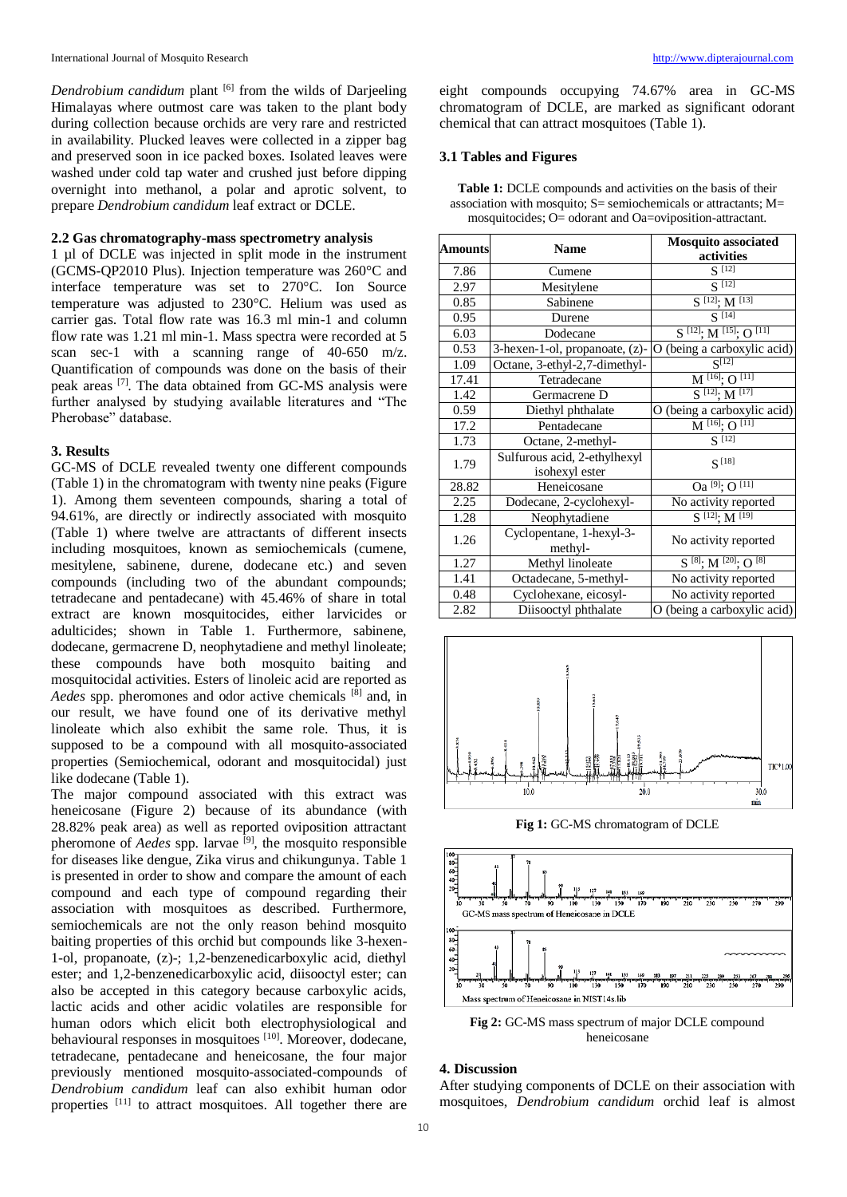*Dendrobium candidum* plant <sup>[6]</sup> from the wilds of Darjeeling Himalayas where outmost care was taken to the plant body during collection because orchids are very rare and restricted in availability. Plucked leaves were collected in a zipper bag and preserved soon in ice packed boxes. Isolated leaves were washed under cold tap water and crushed just before dipping overnight into methanol, a polar and aprotic solvent, to prepare *Dendrobium candidum* leaf extract or DCLE.

## **2.2 Gas chromatography-mass spectrometry analysis**

1 µl of DCLE was injected in split mode in the instrument (GCMS-QP2010 Plus). Injection temperature was 260°C and interface temperature was set to 270°C. Ion Source temperature was adjusted to 230°C. Helium was used as carrier gas. Total flow rate was 16.3 ml min-1 and column flow rate was 1.21 ml min-1. Mass spectra were recorded at 5 scan sec-1 with a scanning range of 40-650 m/z. Quantification of compounds was done on the basis of their peak areas [7]. The data obtained from GC-MS analysis were further analysed by studying available literatures and "The Pherobase" database.

## **3. Results**

GC-MS of DCLE revealed twenty one different compounds (Table 1) in the chromatogram with twenty nine peaks (Figure 1). Among them seventeen compounds, sharing a total of 94.61%, are directly or indirectly associated with mosquito (Table 1) where twelve are attractants of different insects including mosquitoes, known as semiochemicals (cumene, mesitylene, sabinene, durene, dodecane etc.) and seven compounds (including two of the abundant compounds; tetradecane and pentadecane) with 45.46% of share in total extract are known mosquitocides, either larvicides or adulticides; shown in Table 1. Furthermore, sabinene, dodecane, germacrene D, neophytadiene and methyl linoleate; these compounds have both mosquito baiting and mosquitocidal activities. Esters of linoleic acid are reported as *Aedes* spp. pheromones and odor active chemicals [8] and, in our result, we have found one of its derivative methyl linoleate which also exhibit the same role. Thus, it is supposed to be a compound with all mosquito-associated properties (Semiochemical, odorant and mosquitocidal) just like dodecane (Table 1).

The major compound associated with this extract was heneicosane (Figure 2) because of its abundance (with 28.82% peak area) as well as reported oviposition attractant pheromone of *Aedes* spp. larvae <sup>[9]</sup>, the mosquito responsible for diseases like dengue, Zika virus and chikungunya. Table 1 is presented in order to show and compare the amount of each compound and each type of compound regarding their association with mosquitoes as described. Furthermore, semiochemicals are not the only reason behind mosquito baiting properties of this orchid but compounds like 3-hexen-1-ol, propanoate, (z)-; 1,2-benzenedicarboxylic acid, diethyl ester; and 1,2-benzenedicarboxylic acid, diisooctyl ester; can also be accepted in this category because carboxylic acids, lactic acids and other acidic volatiles are responsible for human odors which elicit both electrophysiological and behavioural responses in mosquitoes <sup>[10]</sup>. Moreover, dodecane, tetradecane, pentadecane and heneicosane, the four major previously mentioned mosquito-associated-compounds of *Dendrobium candidum* leaf can also exhibit human odor properties [11] to attract mosquitoes. All together there are eight compounds occupying 74.67% area in GC-MS chromatogram of DCLE, are marked as significant odorant chemical that can attract mosquitoes (Table 1).

# **3.1 Tables and Figures**

**Table 1:** DCLE compounds and activities on the basis of their association with mosquito;  $S=$  semiochemicals or attractants;  $M=$ mosquitocides; O= odorant and Oa=oviposition-attractant.

| <b>Amounts</b> | <b>Name</b>                                    | <b>Mosquito associated</b><br>activities |
|----------------|------------------------------------------------|------------------------------------------|
| 7.86           | Cumene                                         | $S^{[12]}$                               |
| 2.97           | Mesitylene                                     | $S^{[12]}$                               |
| 0.85           | Sabinene                                       | $S^{[12]}\colon M^{[13]}$                |
| 0.95           | Durene                                         | $S^{[14]}$                               |
| 6.03           | Dodecane                                       | $S^{[12]}; M^{[15]}; O^{[11]}$           |
| 0.53           | 3-hexen-1-ol, propanoate, (z)-                 | O (being a carboxylic acid)              |
| 1.09           | Octane, 3-ethyl-2,7-dimethyl-                  | $\overline{S^{[12]}}$                    |
| 17.41          | Tetradecane                                    | $M^{[16]}$ : O [11]                      |
| 1.42           | Germacrene D                                   | $S^{[12]}; M^{[17]}$                     |
| 0.59           | Diethyl phthalate                              | O (being a carboxylic acid)              |
| 17.2           | Pentadecane                                    | $M^{[16]}$ ; O [11]                      |
| 1.73           | Octane, 2-methyl-                              | $S^{[12]}$                               |
| 1.79           | Sulfurous acid, 2-ethylhexyl<br>isohexyl ester | $S^{[18]}$                               |
| 28.82          | Heneicosane                                    | $Oa^{[9]}$ ; $O^{[11]}$                  |
| 2.25           | Dodecane, 2-cyclohexyl-                        | No activity reported                     |
| 1.28           | Neophytadiene                                  | $S^{[12]}$ : $M^{[19]}$                  |
| 1.26           | Cyclopentane, 1-hexyl-3-<br>methyl-            | No activity reported                     |
| 1.27           | Methyl linoleate                               | $S^{[8]}; M^{[20]}; O^{[8]}$             |
| 1.41           | Octadecane, 5-methyl-                          | No activity reported                     |
| 0.48           | Cyclohexane, eicosyl-                          | No activity reported                     |
| 2.82           | Diisooctyl phthalate                           | (being a carboxylic acid)<br>O           |



**Fig 1:** GC-MS chromatogram of DCLE



**Fig 2:** GC-MS mass spectrum of major DCLE compound heneicosane

# **4. Discussion**

After studying components of DCLE on their association with mosquitoes, *Dendrobium candidum* orchid leaf is almost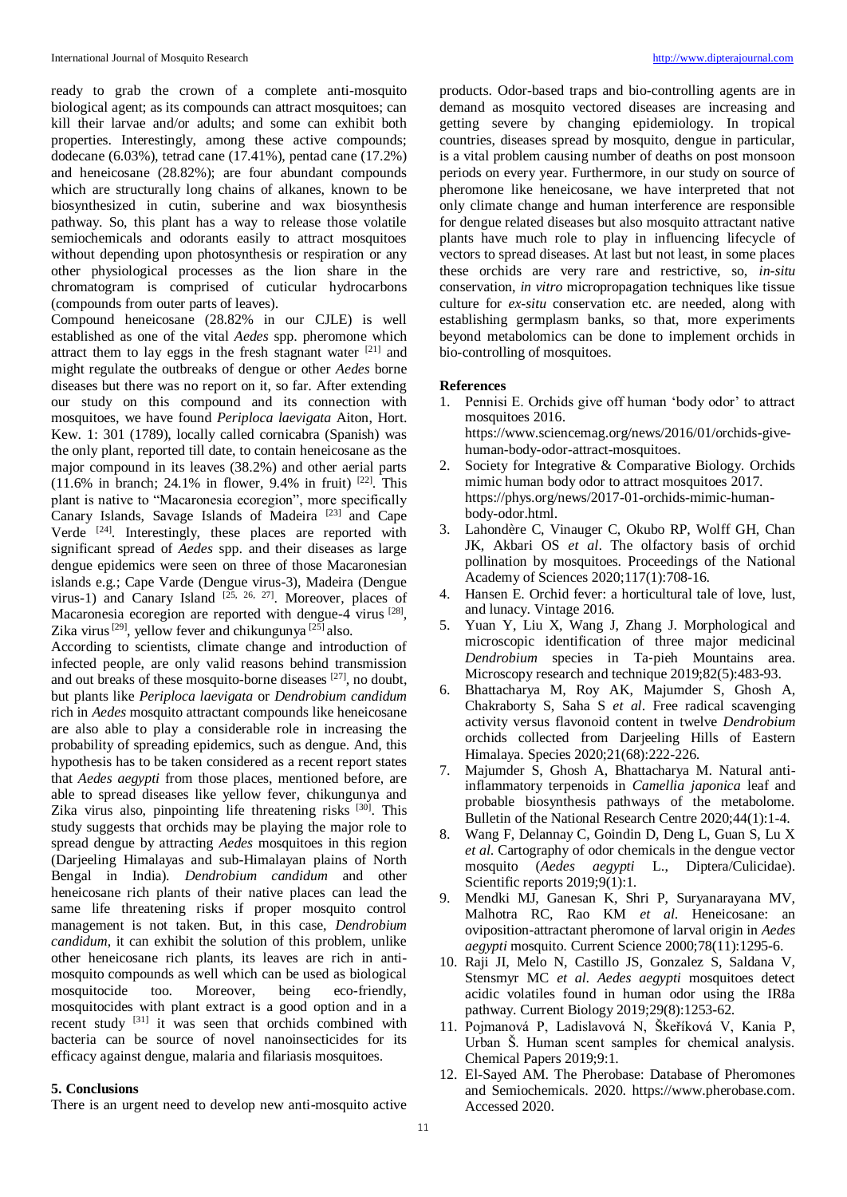ready to grab the crown of a complete anti-mosquito biological agent; as its compounds can attract mosquitoes; can kill their larvae and/or adults; and some can exhibit both properties. Interestingly, among these active compounds; dodecane (6.03%), tetrad cane (17.41%), pentad cane (17.2%) and heneicosane (28.82%); are four abundant compounds which are structurally long chains of alkanes, known to be biosynthesized in cutin, suberine and wax biosynthesis pathway. So, this plant has a way to release those volatile semiochemicals and odorants easily to attract mosquitoes without depending upon photosynthesis or respiration or any other physiological processes as the lion share in the chromatogram is comprised of cuticular hydrocarbons (compounds from outer parts of leaves).

Compound heneicosane (28.82% in our CJLE) is well established as one of the vital *Aedes* spp. pheromone which attract them to lay eggs in the fresh stagnant water  $[21]$  and might regulate the outbreaks of dengue or other *Aedes* borne diseases but there was no report on it, so far. After extending our study on this compound and its connection with mosquitoes, we have found *Periploca laevigata* Aiton, Hort. Kew. 1: 301 (1789), locally called cornicabra (Spanish) was the only plant, reported till date, to contain heneicosane as the major compound in its leaves (38.2%) and other aerial parts  $(11.6\%$  in branch; 24.1% in flower, 9.4% in fruit) <sup>[22]</sup>. This plant is native to "Macaronesia ecoregion", more specifically Canary Islands, Savage Islands of Madeira [23] and Cape Verde [24]. Interestingly, these places are reported with significant spread of *Aedes* spp. and their diseases as large dengue epidemics were seen on three of those Macaronesian islands e.g.; Cape Varde (Dengue virus-3), Madeira (Dengue virus-1) and Canary Island  $^{[25, 26, 27]}$ . Moreover, places of Macaronesia ecoregion are reported with dengue-4 virus [28], Zika virus<sup>[29]</sup>, yellow fever and chikungunya <sup>[25]</sup> also.

According to scientists, climate change and introduction of infected people, are only valid reasons behind transmission and out breaks of these mosquito-borne diseases [27], no doubt, but plants like *Periploca laevigata* or *Dendrobium candidum* rich in *Aedes* mosquito attractant compounds like heneicosane are also able to play a considerable role in increasing the probability of spreading epidemics, such as dengue. And, this hypothesis has to be taken considered as a recent report states that *Aedes aegypti* from those places, mentioned before, are able to spread diseases like yellow fever, chikungunya and Zika virus also, pinpointing life threatening risks [30]. This study suggests that orchids may be playing the major role to spread dengue by attracting *Aedes* mosquitoes in this region (Darjeeling Himalayas and sub-Himalayan plains of North Bengal in India). *Dendrobium candidum* and other heneicosane rich plants of their native places can lead the same life threatening risks if proper mosquito control management is not taken. But, in this case, *Dendrobium candidum*, it can exhibit the solution of this problem, unlike other heneicosane rich plants, its leaves are rich in antimosquito compounds as well which can be used as biological mosquitocide too. Moreover, being eco-friendly, mosquitocides with plant extract is a good option and in a recent study [31] it was seen that orchids combined with bacteria can be source of novel nanoinsecticides for its efficacy against dengue, malaria and filariasis mosquitoes.

## **5. Conclusions**

There is an urgent need to develop new anti-mosquito active

products. Odor-based traps and bio-controlling agents are in demand as mosquito vectored diseases are increasing and getting severe by changing epidemiology. In tropical countries, diseases spread by mosquito, dengue in particular, is a vital problem causing number of deaths on post monsoon periods on every year. Furthermore, in our study on source of pheromone like heneicosane, we have interpreted that not only climate change and human interference are responsible for dengue related diseases but also mosquito attractant native plants have much role to play in influencing lifecycle of vectors to spread diseases. At last but not least, in some places these orchids are very rare and restrictive, so, *in-situ* conservation, *in vitro* micropropagation techniques like tissue culture for *ex-situ* conservation etc. are needed, along with establishing germplasm banks, so that, more experiments beyond metabolomics can be done to implement orchids in bio-controlling of mosquitoes.

# **References**

- 1. Pennisi E. Orchids give off human 'body odor' to attract mosquitoes 2016. https://www.sciencemag.org/news/2016/01/orchids-givehuman-body-odor-attract-mosquitoes.
- 2. Society for Integrative & Comparative Biology. Orchids mimic human body odor to attract mosquitoes 2017. https://phys.org/news/2017-01-orchids-mimic-humanbody-odor.html.
- 3. Lahondère C, Vinauger C, Okubo RP, Wolff GH, Chan JK, Akbari OS *et al*. The olfactory basis of orchid pollination by mosquitoes. Proceedings of the National Academy of Sciences 2020;117(1):708-16.
- 4. Hansen E. Orchid fever: a horticultural tale of love, lust, and lunacy. Vintage 2016.
- 5. Yuan Y, Liu X, Wang J, Zhang J. Morphological and microscopic identification of three major medicinal *Dendrobium* species in Ta‐pieh Mountains area. Microscopy research and technique 2019;82(5):483-93.
- 6. Bhattacharya M, Roy AK, Majumder S, Ghosh A, Chakraborty S, Saha S *et al*. Free radical scavenging activity versus flavonoid content in twelve *Dendrobium* orchids collected from Darjeeling Hills of Eastern Himalaya. Species 2020;21(68):222-226.
- 7. Majumder S, Ghosh A, Bhattacharya M. Natural antiinflammatory terpenoids in *Camellia japonica* leaf and probable biosynthesis pathways of the metabolome. Bulletin of the National Research Centre 2020;44(1):1-4.
- 8. Wang F, Delannay C, Goindin D, Deng L, Guan S, Lu X *et al*. Cartography of odor chemicals in the dengue vector mosquito (*Aedes aegypti* L., Diptera/Culicidae). Scientific reports  $2019:9(1):1$ .
- 9. Mendki MJ, Ganesan K, Shri P, Suryanarayana MV, Malhotra RC, Rao KM *et al*. Heneicosane: an oviposition-attractant pheromone of larval origin in *Aedes aegypti* mosquito. Current Science 2000;78(11):1295-6.
- 10. Raji JI, Melo N, Castillo JS, Gonzalez S, Saldana V, Stensmyr MC *et al*. *Aedes aegypti* mosquitoes detect acidic volatiles found in human odor using the IR8a pathway. Current Biology 2019;29(8):1253-62.
- 11. Pojmanová P, Ladislavová N, Škeříková V, Kania P, Urban Š. Human scent samples for chemical analysis. Chemical Papers 2019;9:1.
- 12. El-Sayed AM. The Pherobase: Database of Pheromones and Semiochemicals. 2020. https://www.pherobase.com. Accessed 2020.